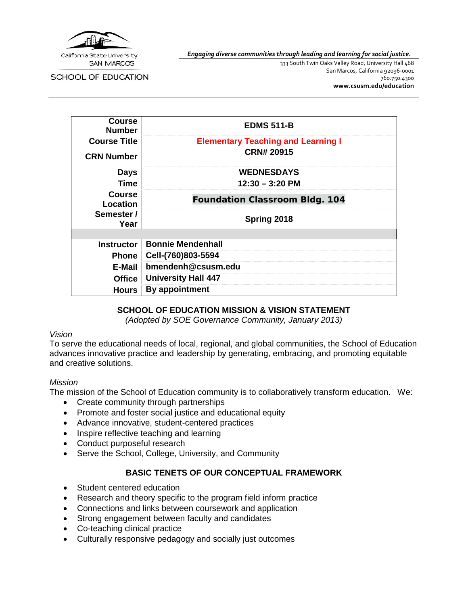

*Engaging diverse communities through leading and learning for social justice.*

SCHOOL OF EDUCATION

333 South Twin Oaks Valley Road, University Hall 468 San Marcos, California 92096-0001 760.750.4300 **[www.csusm.edu/education](http://www.csusm.edu/education)**

| <b>Course</b><br><b>Number</b> | <b>EDMS 511-B</b>                         |
|--------------------------------|-------------------------------------------|
| <b>Course Title</b>            | <b>Elementary Teaching and Learning I</b> |
| <b>CRN Number</b>              | <b>CRN# 20915</b>                         |
| <b>Days</b>                    | <b>WEDNESDAYS</b>                         |
| Time                           | 12:30 - 3:20 PM                           |
| <b>Course</b><br>Location      | <b>Foundation Classroom Bldg. 104</b>     |
| Semester /<br>Year             | Spring 2018                               |
|                                |                                           |
| <b>Instructor</b>              | <b>Bonnie Mendenhall</b>                  |
| <b>Phone</b>                   | Cell-(760)803-5594                        |
| E-Mail                         | bmendenh@csusm.edu                        |
| <b>Office</b>                  | <b>University Hall 447</b>                |
| <b>Hours</b>                   | <b>By appointment</b>                     |

## **SCHOOL OF EDUCATION MISSION & VISION STATEMENT**

*(Adopted by SOE Governance Community, January 2013)*

#### *Vision*

To serve the educational needs of local, regional, and global communities, the School of Education advances innovative practice and leadership by generating, embracing, and promoting equitable and creative solutions.

## *Mission*

The mission of the School of Education community is to collaboratively transform education. We:

- Create community through partnerships
- Promote and foster social justice and educational equity
- Advance innovative, student-centered practices
- Inspire reflective teaching and learning
- Conduct purposeful research
- Serve the School, College, University, and Community

## **BASIC TENETS OF OUR CONCEPTUAL FRAMEWORK**

- Student centered education
- Research and theory specific to the program field inform practice
- Connections and links between coursework and application
- Strong engagement between faculty and candidates
- Co-teaching clinical practice
- Culturally responsive pedagogy and socially just outcomes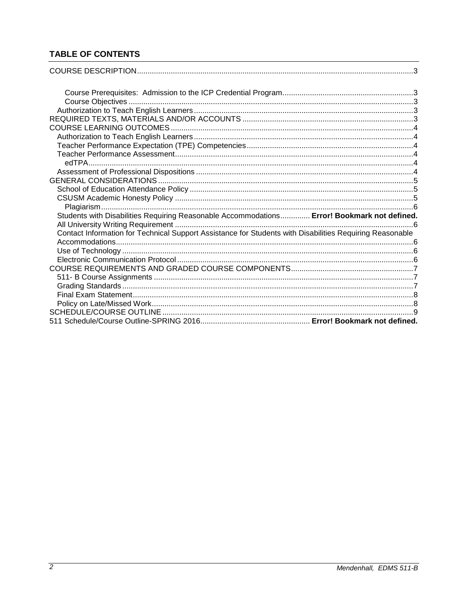# **TABLE OF CONTENTS**

| Students with Disabilities Requiring Reasonable Accommodations Error! Bookmark not defined.              |  |
|----------------------------------------------------------------------------------------------------------|--|
|                                                                                                          |  |
| Contact Information for Technical Support Assistance for Students with Disabilities Requiring Reasonable |  |
|                                                                                                          |  |
|                                                                                                          |  |
|                                                                                                          |  |
|                                                                                                          |  |
|                                                                                                          |  |
|                                                                                                          |  |
|                                                                                                          |  |
|                                                                                                          |  |
|                                                                                                          |  |
|                                                                                                          |  |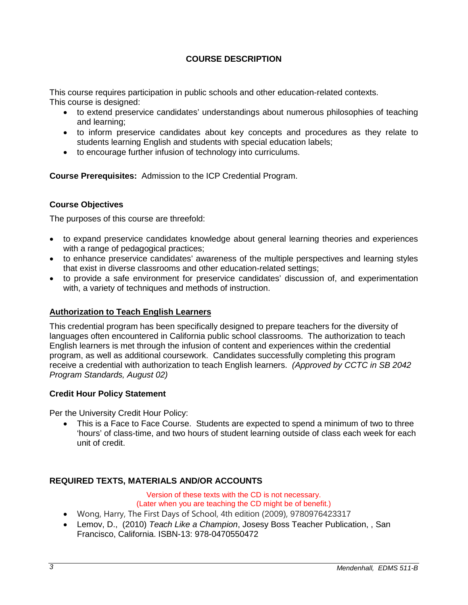# **COURSE DESCRIPTION**

<span id="page-2-0"></span>This course requires participation in public schools and other education-related contexts. This course is designed:

- to extend preservice candidates' understandings about numerous philosophies of teaching and learning;
- to inform preservice candidates about key concepts and procedures as they relate to students learning English and students with special education labels;
- to encourage further infusion of technology into curriculums.

<span id="page-2-1"></span>**Course Prerequisites:** Admission to the ICP Credential Program.

## <span id="page-2-2"></span>**Course Objectives**

The purposes of this course are threefold:

- to expand preservice candidates knowledge about general learning theories and experiences with a range of pedagogical practices;
- to enhance preservice candidates' awareness of the multiple perspectives and learning styles that exist in diverse classrooms and other education-related settings;
- to provide a safe environment for preservice candidates' discussion of, and experimentation with, a variety of techniques and methods of instruction.

## <span id="page-2-3"></span>**Authorization to Teach English Learners**

This credential program has been specifically designed to prepare teachers for the diversity of languages often encountered in California public school classrooms. The authorization to teach English learners is met through the infusion of content and experiences within the credential program, as well as additional coursework. Candidates successfully completing this program receive a credential with authorization to teach English learners. *(Approved by CCTC in SB 2042 Program Standards, August 02)*

## **Credit Hour Policy Statement**

Per the University Credit Hour Policy:

• This is a Face to Face Course. Students are expected to spend a minimum of two to three 'hours' of class-time, and two hours of student learning outside of class each week for each unit of credit.

## <span id="page-2-4"></span>**REQUIRED TEXTS, MATERIALS AND/OR ACCOUNTS**

Version of these texts with the CD is not necessary.

# (Later when you are teaching the CD might be of benefit.)

- Wong, Harry, The First Days of School, 4th edition (2009), 9780976423317
- <span id="page-2-5"></span>• Lemov, D., (2010) *Teach Like a Champion*, Josesy Boss Teacher Publication, , San Francisco, California. ISBN-13: 978-0470550472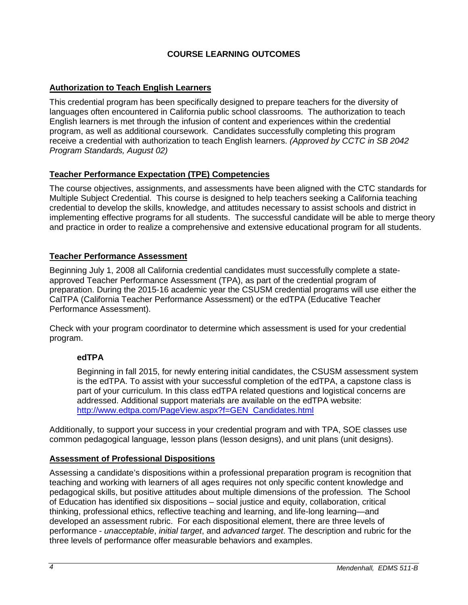# **COURSE LEARNING OUTCOMES**

# <span id="page-3-0"></span>**Authorization to Teach English Learners**

This credential program has been specifically designed to prepare teachers for the diversity of languages often encountered in California public school classrooms. The authorization to teach English learners is met through the infusion of content and experiences within the credential program, as well as additional coursework. Candidates successfully completing this program receive a credential with authorization to teach English learners. *(Approved by CCTC in SB 2042 Program Standards, August 02)*

# <span id="page-3-1"></span>**Teacher Performance Expectation (TPE) Competencies**

The course objectives, assignments, and assessments have been aligned with the CTC standards for Multiple Subject Credential. This course is designed to help teachers seeking a California teaching credential to develop the skills, knowledge, and attitudes necessary to assist schools and district in implementing effective programs for all students. The successful candidate will be able to merge theory and practice in order to realize a comprehensive and extensive educational program for all students.

## <span id="page-3-2"></span>**Teacher Performance Assessment**

Beginning July 1, 2008 all California credential candidates must successfully complete a stateapproved Teacher Performance Assessment (TPA), as part of the credential program of preparation. During the 2015-16 academic year the CSUSM credential programs will use either the CalTPA (California Teacher Performance Assessment) or the edTPA (Educative Teacher Performance Assessment).

Check with your program coordinator to determine which assessment is used for your credential program.

## <span id="page-3-3"></span>**edTPA**

Beginning in fall 2015, for newly entering initial candidates, the CSUSM assessment system is the edTPA. To assist with your successful completion of the edTPA, a capstone class is part of your curriculum. In this class edTPA related questions and logistical concerns are addressed. Additional support materials are available on the edTPA website: [http://www.edtpa.com/PageView.aspx?f=GEN\\_Candidates.html](http://www.edtpa.com/PageView.aspx?f=GEN_Candidates.html)

Additionally, to support your success in your credential program and with TPA, SOE classes use common pedagogical language, lesson plans (lesson designs), and unit plans (unit designs).

## <span id="page-3-4"></span>**Assessment of Professional Dispositions**

Assessing a candidate's dispositions within a professional preparation program is recognition that teaching and working with learners of all ages requires not only specific content knowledge and pedagogical skills, but positive attitudes about multiple dimensions of the profession. The School of Education has identified six dispositions – social justice and equity, collaboration, critical thinking, professional ethics, reflective teaching and learning, and life-long learning—and developed an assessment rubric. For each dispositional element, there are three levels of performance - *unacceptable*, *initial target*, and *advanced target*. The description and rubric for the three levels of performance offer measurable behaviors and examples.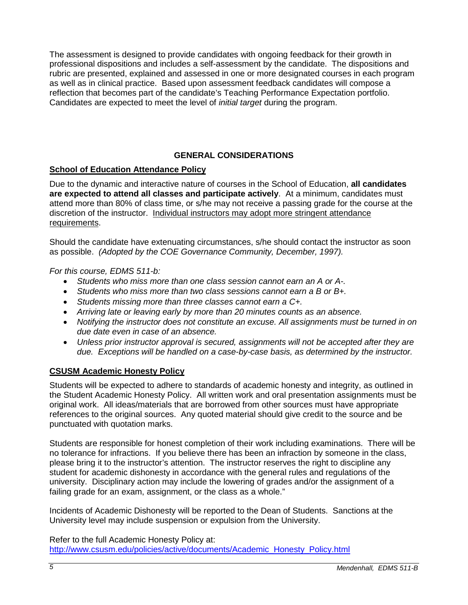The assessment is designed to provide candidates with ongoing feedback for their growth in professional dispositions and includes a self-assessment by the candidate. The dispositions and rubric are presented, explained and assessed in one or more designated courses in each program as well as in clinical practice. Based upon assessment feedback candidates will compose a reflection that becomes part of the candidate's Teaching Performance Expectation portfolio. Candidates are expected to meet the level of *initial target* during the program.

# **GENERAL CONSIDERATIONS**

## <span id="page-4-1"></span><span id="page-4-0"></span>**School of Education Attendance Policy**

Due to the dynamic and interactive nature of courses in the School of Education, **all candidates are expected to attend all classes and participate actively**. At a minimum, candidates must attend more than 80% of class time, or s/he may not receive a passing grade for the course at the discretion of the instructor. Individual instructors may adopt more stringent attendance requirements.

Should the candidate have extenuating circumstances, s/he should contact the instructor as soon as possible. *(Adopted by the COE Governance Community, December, 1997).*

## *For this course, EDMS 511-b:*

- *Students who miss more than one class session cannot earn an A or A-.*
- *Students who miss more than two class sessions cannot earn a B or B+.*
- *Students missing more than three classes cannot earn a C+.*
- *Arriving late or leaving early by more than 20 minutes counts as an absence.*
- *Notifying the instructor does not constitute an excuse. All assignments must be turned in on due date even in case of an absence.*
- *Unless prior instructor approval is secured, assignments will not be accepted after they are due. Exceptions will be handled on a case-by-case basis, as determined by the instructor.*

# <span id="page-4-2"></span>**CSUSM Academic Honesty Policy**

Students will be expected to adhere to standards of academic honesty and integrity, as outlined in the Student Academic Honesty Policy. All written work and oral presentation assignments must be original work. All ideas/materials that are borrowed from other sources must have appropriate references to the original sources. Any quoted material should give credit to the source and be punctuated with quotation marks.

Students are responsible for honest completion of their work including examinations. There will be no tolerance for infractions. If you believe there has been an infraction by someone in the class, please bring it to the instructor's attention. The instructor reserves the right to discipline any student for academic dishonesty in accordance with the general rules and regulations of the university. Disciplinary action may include the lowering of grades and/or the assignment of a failing grade for an exam, assignment, or the class as a whole."

Incidents of Academic Dishonesty will be reported to the Dean of Students. Sanctions at the University level may include suspension or expulsion from the University.

Refer to the full Academic Honesty Policy at: [http://www.csusm.edu/policies/active/documents/Academic\\_Honesty\\_Policy.html](http://www.csusm.edu/policies/active/documents/Academic_Honesty_Policy.html)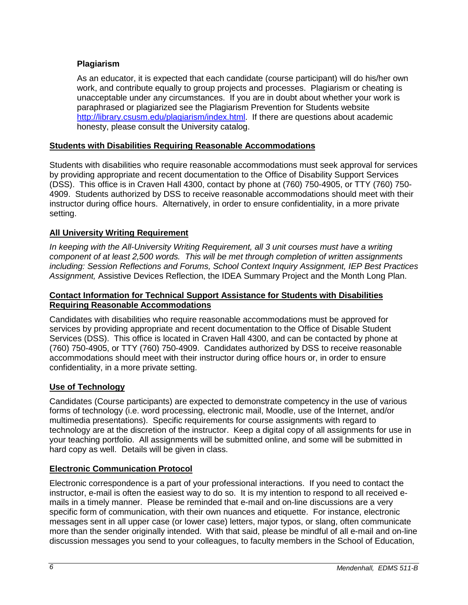# <span id="page-5-0"></span>**Plagiarism**

As an educator, it is expected that each candidate (course participant) will do his/her own work, and contribute equally to group projects and processes. Plagiarism or cheating is unacceptable under any circumstances. If you are in doubt about whether your work is paraphrased or plagiarized see the Plagiarism Prevention for Students website [http://library.csusm.edu/plagiarism/index.html.](http://library.csusm.edu/plagiarism/index.html) If there are questions about academic honesty, please consult the University catalog.

## **Students with Disabilities Requiring Reasonable Accommodations**

Students with disabilities who require reasonable accommodations must seek approval for services by providing appropriate and recent documentation to the Office of Disability Support Services (DSS). This office is in Craven Hall 4300, contact by phone at (760) 750-4905, or TTY (760) 750- 4909. Students authorized by DSS to receive reasonable accommodations should meet with their instructor during office hours. Alternatively, in order to ensure confidentiality, in a more private setting.

# <span id="page-5-1"></span>**All University Writing Requirement**

*In keeping with the All-University Writing Requirement, all 3 unit courses must have a writing component of at least 2,500 words. This will be met through completion of written assignments including: Session Reflections and Forums, School Context Inquiry Assignment, IEP Best Practices Assignment,* Assistive Devices Reflection, the IDEA Summary Project and the Month Long Plan.

## <span id="page-5-2"></span>**Contact Information for Technical Support Assistance for Students with Disabilities Requiring Reasonable Accommodations**

Candidates with disabilities who require reasonable accommodations must be approved for services by providing appropriate and recent documentation to the Office of Disable Student Services (DSS). This office is located in Craven Hall 4300, and can be contacted by phone at (760) 750-4905, or TTY (760) 750-4909. Candidates authorized by DSS to receive reasonable accommodations should meet with their instructor during office hours or, in order to ensure confidentiality, in a more private setting.

# <span id="page-5-3"></span>**Use of Technology**

Candidates (Course participants) are expected to demonstrate competency in the use of various forms of technology (i.e. word processing, electronic mail, Moodle, use of the Internet, and/or multimedia presentations). Specific requirements for course assignments with regard to technology are at the discretion of the instructor. Keep a digital copy of all assignments for use in your teaching portfolio. All assignments will be submitted online, and some will be submitted in hard copy as well. Details will be given in class.

# <span id="page-5-4"></span>**Electronic Communication Protocol**

Electronic correspondence is a part of your professional interactions. If you need to contact the instructor, e-mail is often the easiest way to do so. It is my intention to respond to all received emails in a timely manner. Please be reminded that e-mail and on-line discussions are a very specific form of communication, with their own nuances and etiquette. For instance, electronic messages sent in all upper case (or lower case) letters, major typos, or slang, often communicate more than the sender originally intended. With that said, please be mindful of all e-mail and on-line discussion messages you send to your colleagues, to faculty members in the School of Education,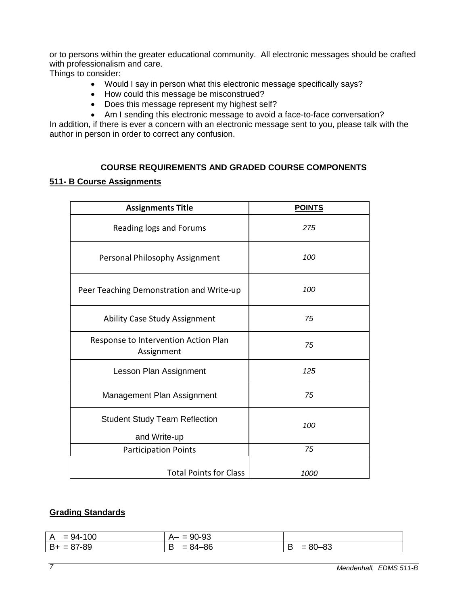or to persons within the greater educational community. All electronic messages should be crafted with professionalism and care.

Things to consider:

- Would I say in person what this electronic message specifically says?
- How could this message be misconstrued?
- Does this message represent my highest self?
- Am I sending this electronic message to avoid a face-to-face conversation?

In addition, if there is ever a concern with an electronic message sent to you, please talk with the author in person in order to correct any confusion.

## **COURSE REQUIREMENTS AND GRADED COURSE COMPONENTS**

## <span id="page-6-1"></span><span id="page-6-0"></span>**511- B Course Assignments**

| <b>Assignments Title</b>                             | <b>POINTS</b> |
|------------------------------------------------------|---------------|
| Reading logs and Forums                              | 275           |
| Personal Philosophy Assignment                       | 100           |
| Peer Teaching Demonstration and Write-up             | 100           |
| <b>Ability Case Study Assignment</b>                 | 75            |
| Response to Intervention Action Plan<br>Assignment   | 75            |
| Lesson Plan Assignment                               | 125           |
| Management Plan Assignment                           | 75            |
| <b>Student Study Team Reflection</b><br>and Write-up | 100           |
| <b>Participation Points</b>                          | 75            |
| <b>Total Points for Class</b>                        | <i>1000</i>   |

## <span id="page-6-2"></span>**Grading Standards**

| 00<br>$= 94 -$<br>$\overline{A}$ | $90-93$<br>$A - =$        |                                                       |
|----------------------------------|---------------------------|-------------------------------------------------------|
| 87-89<br>$B+ =$<br>ິ             | O <sub>C</sub><br>D.<br>- | $.80 - 8^\circ$<br>$\overline{\phantom{0}}$<br>Þ<br>- |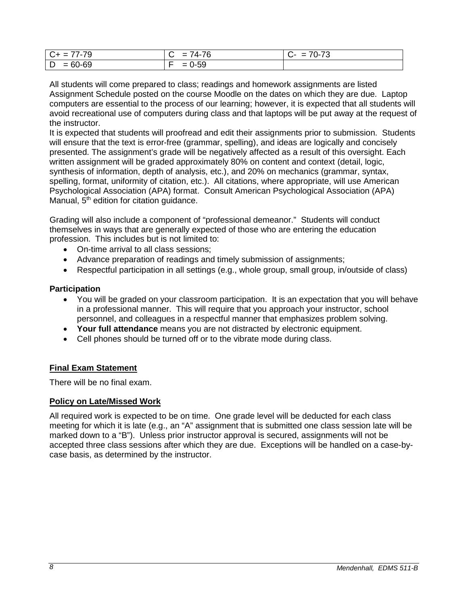| $C_{+}$ = 77-79  | 74-76         | $\overline{\phantom{a}}$<br>70-.<br>$\overline{\phantom{0}}$ |
|------------------|---------------|--------------------------------------------------------------|
| $= 60 - 69$<br>D | 0-59<br>$= 1$ |                                                              |

All students will come prepared to class; readings and homework assignments are listed Assignment Schedule posted on the course Moodle on the dates on which they are due. Laptop computers are essential to the process of our learning; however, it is expected that all students will avoid recreational use of computers during class and that laptops will be put away at the request of the instructor.

It is expected that students will proofread and edit their assignments prior to submission. Students will ensure that the text is error-free (grammar, spelling), and ideas are logically and concisely presented. The assignment's grade will be negatively affected as a result of this oversight. Each written assignment will be graded approximately 80% on content and context (detail, logic, synthesis of information, depth of analysis, etc.), and 20% on mechanics (grammar, syntax, spelling, format, uniformity of citation, etc.). All citations, where appropriate, will use American Psychological Association (APA) format. Consult American Psychological Association (APA) Manual,  $5<sup>th</sup>$  edition for citation guidance.

Grading will also include a component of "professional demeanor." Students will conduct themselves in ways that are generally expected of those who are entering the education profession. This includes but is not limited to:

- On-time arrival to all class sessions;
- Advance preparation of readings and timely submission of assignments;
- Respectful participation in all settings (e.g., whole group, small group, in/outside of class)

## **Participation**

- You will be graded on your classroom participation. It is an expectation that you will behave in a professional manner. This will require that you approach your instructor, school personnel, and colleagues in a respectful manner that emphasizes problem solving.
- **Your full attendance** means you are not distracted by electronic equipment.
- Cell phones should be turned off or to the vibrate mode during class.

# <span id="page-7-0"></span>**Final Exam Statement**

There will be no final exam.

# <span id="page-7-1"></span>**Policy on Late/Missed Work**

All required work is expected to be on time. One grade level will be deducted for each class meeting for which it is late (e.g., an "A" assignment that is submitted one class session late will be marked down to a "B"). Unless prior instructor approval is secured, assignments will not be accepted three class sessions after which they are due. Exceptions will be handled on a case-bycase basis, as determined by the instructor.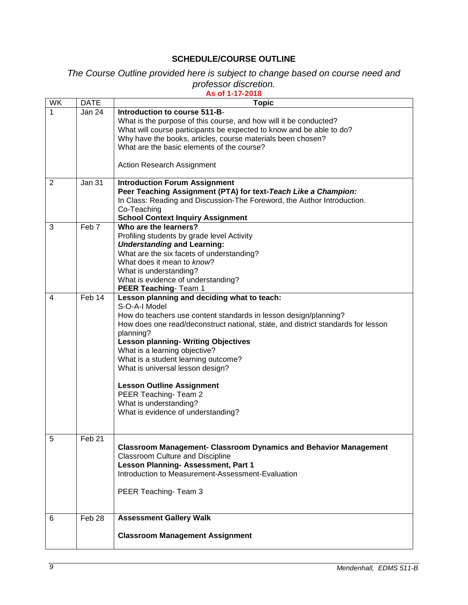# **SCHEDULE/COURSE OUTLINE**

<span id="page-8-0"></span>*The Course Outline provided here is subject to change based on course need and professor discretion.*

**As of 1-17-2018**

| <b>WK</b>      | <b>DATE</b>      | <b>Topic</b>                                                                     |
|----------------|------------------|----------------------------------------------------------------------------------|
| 1              | Jan 24           | Introduction to course 511-B-                                                    |
|                |                  | What is the purpose of this course, and how will it be conducted?                |
|                |                  | What will course participants be expected to know and be able to do?             |
|                |                  | Why have the books, articles, course materials been chosen?                      |
|                |                  | What are the basic elements of the course?                                       |
|                |                  | <b>Action Research Assignment</b>                                                |
|                |                  |                                                                                  |
| $\overline{2}$ | <b>Jan 31</b>    | <b>Introduction Forum Assignment</b>                                             |
|                |                  | Peer Teaching Assignment (PTA) for text-Teach Like a Champion:                   |
|                |                  | In Class: Reading and Discussion-The Foreword, the Author Introduction.          |
|                |                  | Co-Teaching                                                                      |
| 3              | Feb <sub>7</sub> | <b>School Context Inquiry Assignment</b><br>Who are the learners?                |
|                |                  | Profiling students by grade level Activity                                       |
|                |                  | <b>Understanding and Learning:</b>                                               |
|                |                  | What are the six facets of understanding?                                        |
|                |                  | What does it mean to know?                                                       |
|                |                  | What is understanding?                                                           |
|                |                  | What is evidence of understanding?                                               |
|                |                  | PEER Teaching- Team 1                                                            |
| 4              | Feb 14           | Lesson planning and deciding what to teach:                                      |
|                |                  | S-O-A-I Model                                                                    |
|                |                  | How do teachers use content standards in lesson design/planning?                 |
|                |                  | How does one read/deconstruct national, state, and district standards for lesson |
|                |                  | planning?                                                                        |
|                |                  | <b>Lesson planning- Writing Objectives</b>                                       |
|                |                  | What is a learning objective?                                                    |
|                |                  | What is a student learning outcome?                                              |
|                |                  | What is universal lesson design?                                                 |
|                |                  | <b>Lesson Outline Assignment</b>                                                 |
|                |                  | PEER Teaching- Team 2                                                            |
|                |                  | What is understanding?                                                           |
|                |                  | What is evidence of understanding?                                               |
|                |                  |                                                                                  |
| 5              | Feb 21           |                                                                                  |
|                |                  | <b>Classroom Management- Classroom Dynamics and Behavior Management</b>          |
|                |                  | <b>Classroom Culture and Discipline</b>                                          |
|                |                  | <b>Lesson Planning- Assessment, Part 1</b>                                       |
|                |                  | Introduction to Measurement-Assessment-Evaluation                                |
|                |                  |                                                                                  |
|                |                  | PEER Teaching- Team 3                                                            |
|                |                  |                                                                                  |
| 6              | Feb 28           | <b>Assessment Gallery Walk</b>                                                   |
|                |                  |                                                                                  |
|                |                  | <b>Classroom Management Assignment</b>                                           |